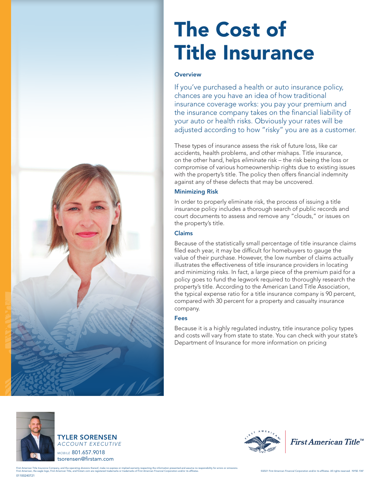

# The Cost of Title Insurance

### **Overview**

If you've purchased a health or auto insurance policy, chances are you have an idea of how traditional insurance coverage works: you pay your premium and the insurance company takes on the financial liability of your auto or health risks. Obviously your rates will be adjusted according to how "risky" you are as a customer.

These types of insurance assess the risk of future loss, like car accidents, health problems, and other mishaps. Title insurance, on the other hand, helps *eliminate* risk – the risk being the loss or compromise of various homeownership rights due to existing issues with the property's title. The policy then offers financial indemnity against any of these defects that may be uncovered.

## Minimizing Risk

In order to properly eliminate risk, the process of issuing a title insurance policy includes a thorough search of public records and court documents to assess and remove any "clouds," or issues on the property's title.

#### Claims

Because of the statistically small percentage of title insurance claims filed each year, it may be difficult for homebuyers to gauge the value of their purchase. However, the low number of claims actually illustrates the effectiveness of title insurance providers in locating and minimizing risks. In fact, a large piece of the premium paid for a policy goes to fund the legwork required to thoroughly research the property's title. According to the American Land Title Association, the typical expense ratio for a title insurance company is 90 percent, compared with 30 percent for a property and casualty insurance company.

#### Fees

Because it is a highly regulated industry, title insurance policy types and costs will vary from state to state. You can check with your state's Department of Insurance for more information on pricing







First American Title<sup>™</sup>

01100240721 First American Title Insurance Company, and the operating divisions thereof, make no express or implied warranty respecting the information presented and assume no responsibility for errors or omissions.